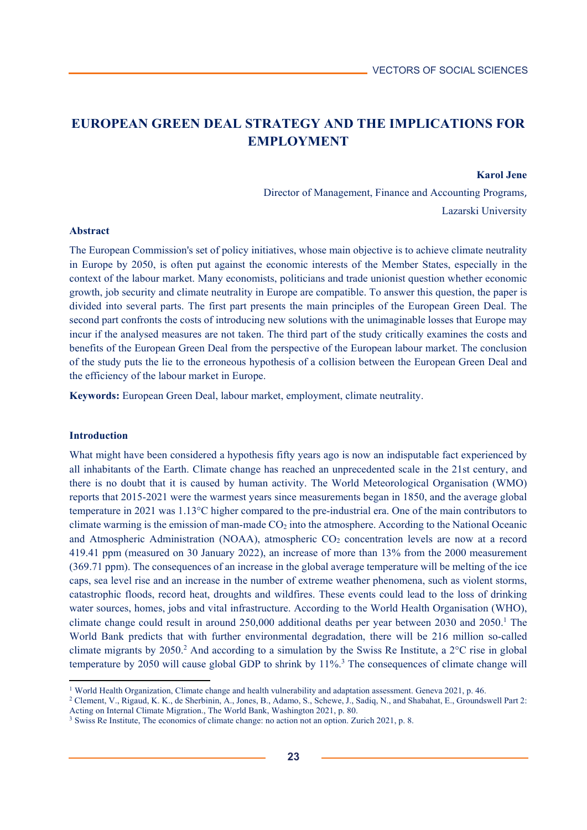# **EUROPEAN GREEN DEAL STRATEGY AND THE IMPLICATIONS FOR EMPLOYMENT**

#### **Karol Jene**

Director of Management, Finance and Accounting Programs, Lazarski University

### **Abstract**

The European Commission's set of policy initiatives, whose main objective is to achieve climate neutrality in Europe by 2050, is often put against the economic interests of the Member States, especially in the context of the labour market. Many economists, politicians and trade unionist question whether economic growth, job security and climate neutrality in Europe are compatible. To answer this question, the paper is divided into several parts. The first part presents the main principles of the European Green Deal. The second part confronts the costs of introducing new solutions with the unimaginable losses that Europe may incur if the analysed measures are not taken. The third part of the study critically examines the costs and benefits of the European Green Deal from the perspective of the European labour market. The conclusion of the study puts the lie to the erroneous hypothesis of a collision between the European Green Deal and the efficiency of the labour market in Europe.

**Keywords:** European Green Deal, labour market, employment, climate neutrality.

### **Introduction**

l

What might have been considered a hypothesis fifty years ago is now an indisputable fact experienced by all inhabitants of the Earth. Climate change has reached an unprecedented scale in the 21st century, and there is no doubt that it is caused by human activity. The World Meteorological Organisation (WMO) reports that 2015-2021 were the warmest years since measurements began in 1850, and the average global temperature in 2021 was 1.13°C higher compared to the pre-industrial era. One of the main contributors to climate warming is the emission of man-made  $CO<sub>2</sub>$  into the atmosphere. According to the National Oceanic and Atmospheric Administration (NOAA), atmospheric  $CO<sub>2</sub>$  concentration levels are now at a record 419.41 ppm (measured on 30 January 2022), an increase of more than 13% from the 2000 measurement (369.71 ppm). The consequences of an increase in the global average temperature will be melting of the ice caps, sea level rise and an increase in the number of extreme weather phenomena, such as violent storms, catastrophic floods, record heat, droughts and wildfires. These events could lead to the loss of drinking water sources, homes, jobs and vital infrastructure. According to the World Health Organisation (WHO), climate change could result in around 250,000 additional deaths per year between 2030 and 2050.<sup>1</sup> The World Bank predicts that with further environmental degradation, there will be 216 million so-called climate migrants by 2050.<sup>2</sup> And according to a simulation by the Swiss Re Institute, a  $2^{\circ}$ C rise in global temperature by 2050 will cause global GDP to shrink by 11%.<sup>3</sup> The consequences of climate change will

<sup>&</sup>lt;sup>1</sup> World Health Organization, Climate change and health vulnerability and adaptation assessment. Geneva 2021, p. 46.<br><sup>2</sup> Clement, V., Rigaud, K. K., de Sherbinin, A., Jones, B., Adamo, S., Schewe, J., Sadiq, N., and Shaba Acting on Internal Climate Migration., The World Bank, Washington 2021, p. 80.

<sup>&</sup>lt;sup>3</sup> Swiss Re Institute, The economics of climate change: no action not an option. Zurich 2021, p. 8.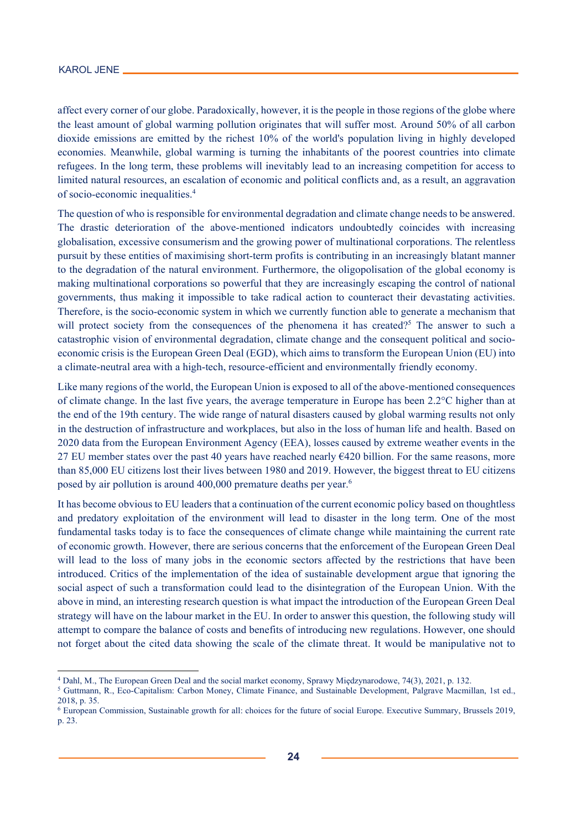$\overline{a}$ 

affect every corner of our globe. Paradoxically, however, it is the people in those regions of the globe where the least amount of global warming pollution originates that will suffer most. Around 50% of all carbon dioxide emissions are emitted by the richest 10% of the world's population living in highly developed economies. Meanwhile, global warming is turning the inhabitants of the poorest countries into climate refugees. In the long term, these problems will inevitably lead to an increasing competition for access to limited natural resources, an escalation of economic and political conflicts and, as a result, an aggravation of socio-economic inequalities.4

The question of who is responsible for environmental degradation and climate change needs to be answered. The drastic deterioration of the above-mentioned indicators undoubtedly coincides with increasing globalisation, excessive consumerism and the growing power of multinational corporations. The relentless pursuit by these entities of maximising short-term profits is contributing in an increasingly blatant manner to the degradation of the natural environment. Furthermore, the oligopolisation of the global economy is making multinational corporations so powerful that they are increasingly escaping the control of national governments, thus making it impossible to take radical action to counteract their devastating activities. Therefore, is the socio-economic system in which we currently function able to generate a mechanism that will protect society from the consequences of the phenomena it has created?<sup>5</sup> The answer to such a catastrophic vision of environmental degradation, climate change and the consequent political and socioeconomic crisis is the European Green Deal (EGD), which aims to transform the European Union (EU) into a climate-neutral area with a high-tech, resource-efficient and environmentally friendly economy.

Like many regions of the world, the European Union is exposed to all of the above-mentioned consequences of climate change. In the last five years, the average temperature in Europe has been 2.2°C higher than at the end of the 19th century. The wide range of natural disasters caused by global warming results not only in the destruction of infrastructure and workplaces, but also in the loss of human life and health. Based on 2020 data from the European Environment Agency (EEA), losses caused by extreme weather events in the 27 EU member states over the past 40 years have reached nearly €420 billion. For the same reasons, more than 85,000 EU citizens lost their lives between 1980 and 2019. However, the biggest threat to EU citizens posed by air pollution is around 400,000 premature deaths per year.<sup>6</sup>

It has become obvious to EU leaders that a continuation of the current economic policy based on thoughtless and predatory exploitation of the environment will lead to disaster in the long term. One of the most fundamental tasks today is to face the consequences of climate change while maintaining the current rate of economic growth. However, there are serious concerns that the enforcement of the European Green Deal will lead to the loss of many jobs in the economic sectors affected by the restrictions that have been introduced. Critics of the implementation of the idea of sustainable development argue that ignoring the social aspect of such a transformation could lead to the disintegration of the European Union. With the above in mind, an interesting research question is what impact the introduction of the European Green Deal strategy will have on the labour market in the EU. In order to answer this question, the following study will attempt to compare the balance of costs and benefits of introducing new regulations. However, one should not forget about the cited data showing the scale of the climate threat. It would be manipulative not to

<sup>&</sup>lt;sup>4</sup> Dahl, M., The European Green Deal and the social market economy, Sprawy Międzynarodowe, 74(3), 2021, p. 132.<br><sup>5</sup> Guttmann, R., Eco-Capitalism: Carbon Money, Climate Finance, and Sustainable Development, Palgrave Macmil 2018, p. 35.

<sup>6</sup> European Commission, Sustainable growth for all: choices for the future of social Europe. Executive Summary, Brussels 2019, p. 23.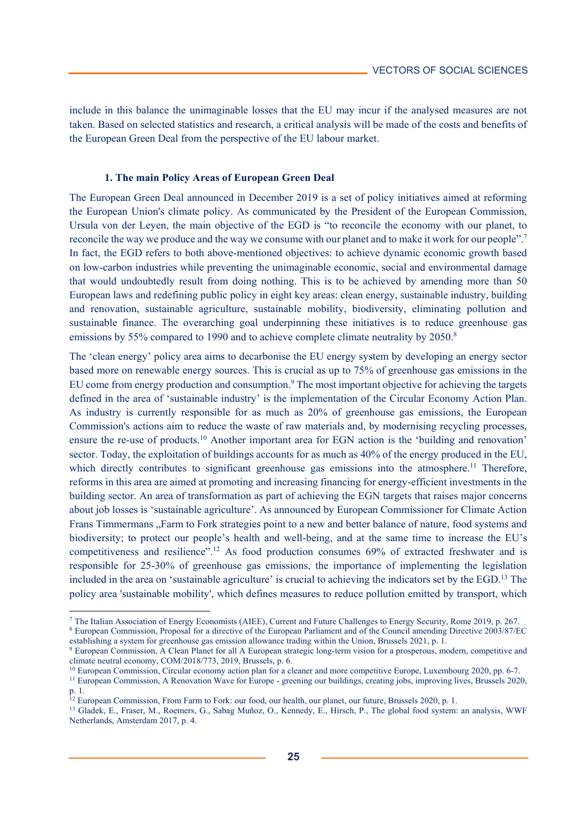include in this balance the unimaginable losses that the EU may incur if the analysed measures are not taken. Based on selected statistics and research, a critical analysis will be made of the costs and benefits of the European Green Deal from the perspective of the EU labour market.

## **1. The main Policy Areas of European Green Deal**

The European Green Deal announced in December 2019 is a set of policy initiatives aimed at reforming the European Union's climate policy. As communicated by the President of the European Commission, Ursula von der Leyen, the main objective of the EGD is "to reconcile the economy with our planet, to reconcile the way we produce and the way we consume with our planet and to make it work for our people".7 In fact, the EGD refers to both above-mentioned objectives: to achieve dynamic economic growth based on low-carbon industries while preventing the unimaginable economic, social and environmental damage that would undoubtedly result from doing nothing. This is to be achieved by amending more than 50 European laws and redefining public policy in eight key areas: clean energy, sustainable industry, building and renovation, sustainable agriculture, sustainable mobility, biodiversity, eliminating pollution and sustainable finance. The overarching goal underpinning these initiatives is to reduce greenhouse gas emissions by 55% compared to 1990 and to achieve complete climate neutrality by 2050.<sup>8</sup>

The 'clean energy' policy area aims to decarbonise the EU energy system by developing an energy sector based more on renewable energy sources. This is crucial as up to 75% of greenhouse gas emissions in the EU come from energy production and consumption.<sup>9</sup> The most important objective for achieving the targets defined in the area of 'sustainable industry' is the implementation of the Circular Economy Action Plan. As industry is currently responsible for as much as 20% of greenhouse gas emissions, the European Commission's actions aim to reduce the waste of raw materials and, by modernising recycling processes, ensure the re-use of products.10 Another important area for EGN action is the 'building and renovation' sector. Today, the exploitation of buildings accounts for as much as 40% of the energy produced in the EU, which directly contributes to significant greenhouse gas emissions into the atmosphere.<sup>11</sup> Therefore, reforms in this area are aimed at promoting and increasing financing for energy-efficient investments in the building sector. An area of transformation as part of achieving the EGN targets that raises major concerns about job losses is 'sustainable agriculture'. As announced by European Commissioner for Climate Action Frans Timmermans "Farm to Fork strategies point to a new and better balance of nature, food systems and biodiversity; to protect our people's health and well-being, and at the same time to increase the EU's competitiveness and resilience".12 As food production consumes 69% of extracted freshwater and is responsible for 25-30% of greenhouse gas emissions, the importance of implementing the legislation included in the area on 'sustainable agriculture' is crucial to achieving the indicators set by the EGD.13 The policy area 'sustainable mobility', which defines measures to reduce pollution emitted by transport, which

 $\overline{a}$ 

<sup>&</sup>lt;sup>7</sup> The Italian Association of Energy Economists (AIEE), Current and Future Challenges to Energy Security, Rome 2019, p. 267.<br><sup>8</sup> European Commission, Proposal for a directive of the European Parliament and of the Council

establishing a system for greenhouse gas emission allowance trading within the Union, Brussels 2021, p. 1.<br><sup>9</sup> European Commission, A Clean Planet for all A European strategic long-term vision for a prosperous, modern, com

climate neutral economy, COM/2018/773, 2019, Brussels, p. 6.<br><sup>10</sup> European Commission, Circular economy action plan for a cleaner and more competitive Europe, Luxembourg 2020, pp. 6-7.<br><sup>11</sup> European Commission, A Renovatio p. 1.<br><sup>12</sup> European Commission, From Farm to Fork: our food, our health, our planet, our future, Brussels 2020, p. 1.

<sup>&</sup>lt;sup>13</sup> Gladek, E., Fraser, M., Roemers, G., Sabag Muñoz, O., Kennedy, E., Hirsch, P., The global food system: an analysis, WWF Netherlands, Amsterdam 2017, p. 4.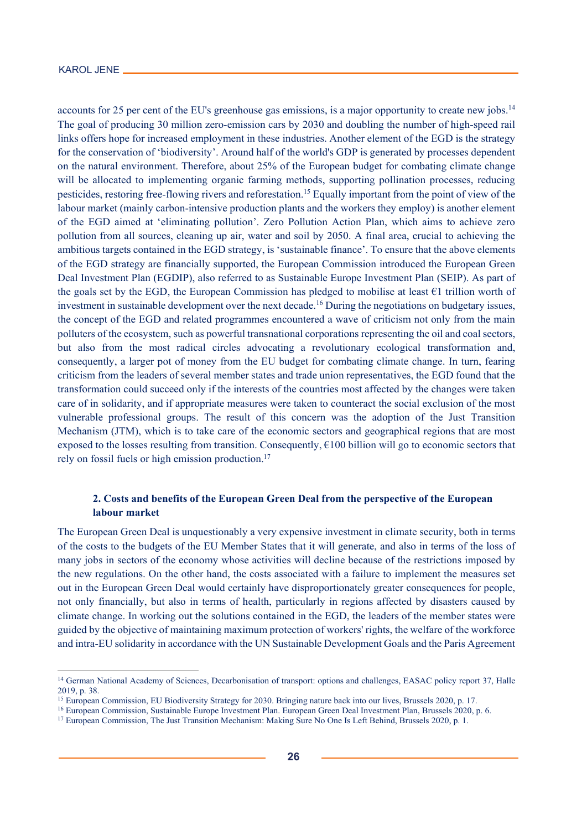<u>.</u>

accounts for 25 per cent of the EU's greenhouse gas emissions, is a major opportunity to create new jobs.<sup>14</sup> The goal of producing 30 million zero-emission cars by 2030 and doubling the number of high-speed rail links offers hope for increased employment in these industries. Another element of the EGD is the strategy for the conservation of 'biodiversity'. Around half of the world's GDP is generated by processes dependent on the natural environment. Therefore, about 25% of the European budget for combating climate change will be allocated to implementing organic farming methods, supporting pollination processes, reducing pesticides, restoring free-flowing rivers and reforestation.15 Equally important from the point of view of the labour market (mainly carbon-intensive production plants and the workers they employ) is another element of the EGD aimed at 'eliminating pollution'. Zero Pollution Action Plan, which aims to achieve zero pollution from all sources, cleaning up air, water and soil by 2050. A final area, crucial to achieving the ambitious targets contained in the EGD strategy, is 'sustainable finance'. To ensure that the above elements of the EGD strategy are financially supported, the European Commission introduced the European Green Deal Investment Plan (EGDIP), also referred to as Sustainable Europe Investment Plan (SEIP). As part of the goals set by the EGD, the European Commission has pledged to mobilise at least €1 trillion worth of investment in sustainable development over the next decade.<sup>16</sup> During the negotiations on budgetary issues, the concept of the EGD and related programmes encountered a wave of criticism not only from the main polluters of the ecosystem, such as powerful transnational corporations representing the oil and coal sectors, but also from the most radical circles advocating a revolutionary ecological transformation and, consequently, a larger pot of money from the EU budget for combating climate change. In turn, fearing criticism from the leaders of several member states and trade union representatives, the EGD found that the transformation could succeed only if the interests of the countries most affected by the changes were taken care of in solidarity, and if appropriate measures were taken to counteract the social exclusion of the most vulnerable professional groups. The result of this concern was the adoption of the Just Transition Mechanism (JTM), which is to take care of the economic sectors and geographical regions that are most exposed to the losses resulting from transition. Consequently,  $\epsilon$ 100 billion will go to economic sectors that rely on fossil fuels or high emission production.<sup>17</sup>

# **2. Costs and benefits of the European Green Deal from the perspective of the European labour market**

The European Green Deal is unquestionably a very expensive investment in climate security, both in terms of the costs to the budgets of the EU Member States that it will generate, and also in terms of the loss of many jobs in sectors of the economy whose activities will decline because of the restrictions imposed by the new regulations. On the other hand, the costs associated with a failure to implement the measures set out in the European Green Deal would certainly have disproportionately greater consequences for people, not only financially, but also in terms of health, particularly in regions affected by disasters caused by climate change. In working out the solutions contained in the EGD, the leaders of the member states were guided by the objective of maintaining maximum protection of workers' rights, the welfare of the workforce and intra-EU solidarity in accordance with the UN Sustainable Development Goals and the Paris Agreement

<sup>&</sup>lt;sup>14</sup> German National Academy of Sciences, Decarbonisation of transport: options and challenges, EASAC policy report 37, Halle 2019, p. 38.<br><sup>15</sup> European Commission, EU Biodiversity Strategy for 2030. Bringing nature back into our lives, Brussels 2020, p. 17.

<sup>&</sup>lt;sup>16</sup> European Commission, Sustainable Europe Investment Plan. European Green Deal Investment Plan, Brussels 2020, p. 6.<br><sup>17</sup> European Commission, The Just Transition Mechanism: Making Sure No One Is Left Behind, Brussels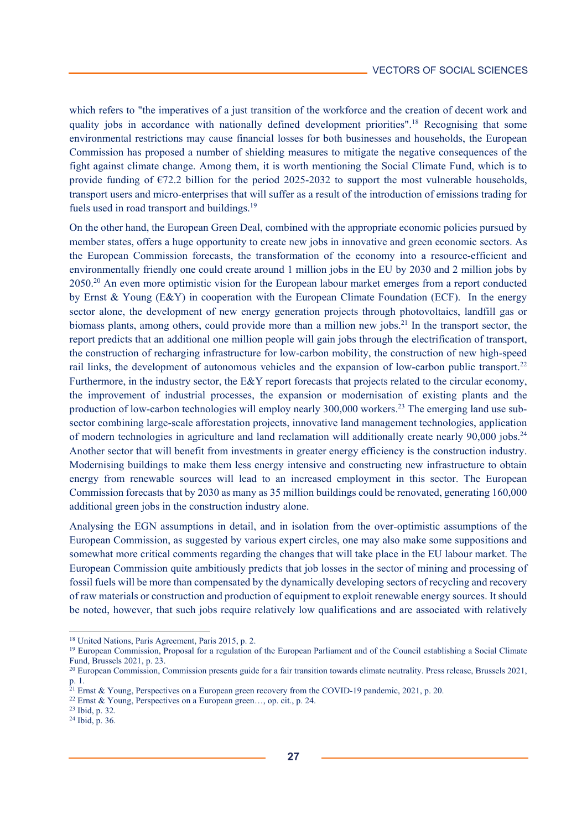which refers to "the imperatives of a just transition of the workforce and the creation of decent work and quality jobs in accordance with nationally defined development priorities".<sup>18</sup> Recognising that some environmental restrictions may cause financial losses for both businesses and households, the European Commission has proposed a number of shielding measures to mitigate the negative consequences of the fight against climate change. Among them, it is worth mentioning the Social Climate Fund, which is to provide funding of  $E72.2$  billion for the period 2025-2032 to support the most vulnerable households, transport users and micro-enterprises that will suffer as a result of the introduction of emissions trading for fuels used in road transport and buildings.<sup>19</sup>

On the other hand, the European Green Deal, combined with the appropriate economic policies pursued by member states, offers a huge opportunity to create new jobs in innovative and green economic sectors. As the European Commission forecasts, the transformation of the economy into a resource-efficient and environmentally friendly one could create around 1 million jobs in the EU by 2030 and 2 million jobs by 2050.20 An even more optimistic vision for the European labour market emerges from a report conducted by Ernst & Young (E&Y) in cooperation with the European Climate Foundation (ECF). In the energy sector alone, the development of new energy generation projects through photovoltaics, landfill gas or biomass plants, among others, could provide more than a million new jobs.<sup>21</sup> In the transport sector, the report predicts that an additional one million people will gain jobs through the electrification of transport, the construction of recharging infrastructure for low-carbon mobility, the construction of new high-speed rail links, the development of autonomous vehicles and the expansion of low-carbon public transport.22 Furthermore, in the industry sector, the E&Y report forecasts that projects related to the circular economy, the improvement of industrial processes, the expansion or modernisation of existing plants and the production of low-carbon technologies will employ nearly 300,000 workers.<sup>23</sup> The emerging land use subsector combining large-scale afforestation projects, innovative land management technologies, application of modern technologies in agriculture and land reclamation will additionally create nearly 90,000 jobs.<sup>24</sup> Another sector that will benefit from investments in greater energy efficiency is the construction industry. Modernising buildings to make them less energy intensive and constructing new infrastructure to obtain energy from renewable sources will lead to an increased employment in this sector. The European Commission forecasts that by 2030 as many as 35 million buildings could be renovated, generating 160,000 additional green jobs in the construction industry alone.

Analysing the EGN assumptions in detail, and in isolation from the over-optimistic assumptions of the European Commission, as suggested by various expert circles, one may also make some suppositions and somewhat more critical comments regarding the changes that will take place in the EU labour market. The European Commission quite ambitiously predicts that job losses in the sector of mining and processing of fossil fuels will be more than compensated by the dynamically developing sectors of recycling and recovery of raw materials or construction and production of equipment to exploit renewable energy sources. It should be noted, however, that such jobs require relatively low qualifications and are associated with relatively

l

<sup>&</sup>lt;sup>18</sup> United Nations, Paris Agreement, Paris 2015, p. 2.<br><sup>19</sup> European Commission, Proposal for a regulation of the European Parliament and of the Council establishing a Social Climate Fund, Brussels 2021, p. 23.

<sup>&</sup>lt;sup>20</sup> European Commission, Commission presents guide for a fair transition towards climate neutrality. Press release, Brussels 2021, p. 1.

<sup>&</sup>lt;sup>21</sup> Ernst & Young, Perspectives on a European green recovery from the COVID-19 pandemic, 2021, p. 20. <sup>22</sup> Ernst & Young, Perspectives on a European green…, op. cit., p. 24. <sup>23</sup> Ibid, p. 32.

<sup>24</sup> Ibid, p. 36.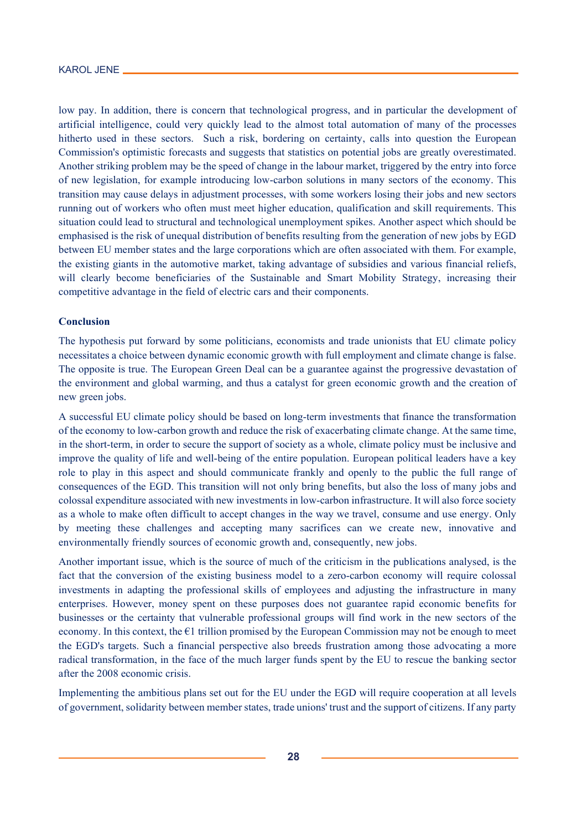low pay. In addition, there is concern that technological progress, and in particular the development of artificial intelligence, could very quickly lead to the almost total automation of many of the processes hitherto used in these sectors. Such a risk, bordering on certainty, calls into question the European Commission's optimistic forecasts and suggests that statistics on potential jobs are greatly overestimated. Another striking problem may be the speed of change in the labour market, triggered by the entry into force of new legislation, for example introducing low-carbon solutions in many sectors of the economy. This transition may cause delays in adjustment processes, with some workers losing their jobs and new sectors running out of workers who often must meet higher education, qualification and skill requirements. This situation could lead to structural and technological unemployment spikes. Another aspect which should be emphasised is the risk of unequal distribution of benefits resulting from the generation of new jobs by EGD between EU member states and the large corporations which are often associated with them. For example, the existing giants in the automotive market, taking advantage of subsidies and various financial reliefs, will clearly become beneficiaries of the Sustainable and Smart Mobility Strategy, increasing their competitive advantage in the field of electric cars and their components.

## **Conclusion**

The hypothesis put forward by some politicians, economists and trade unionists that EU climate policy necessitates a choice between dynamic economic growth with full employment and climate change is false. The opposite is true. The European Green Deal can be a guarantee against the progressive devastation of the environment and global warming, and thus a catalyst for green economic growth and the creation of new green jobs.

A successful EU climate policy should be based on long-term investments that finance the transformation of the economy to low-carbon growth and reduce the risk of exacerbating climate change. At the same time, in the short-term, in order to secure the support of society as a whole, climate policy must be inclusive and improve the quality of life and well-being of the entire population. European political leaders have a key role to play in this aspect and should communicate frankly and openly to the public the full range of consequences of the EGD. This transition will not only bring benefits, but also the loss of many jobs and colossal expenditure associated with new investments in low-carbon infrastructure. It will also force society as a whole to make often difficult to accept changes in the way we travel, consume and use energy. Only by meeting these challenges and accepting many sacrifices can we create new, innovative and environmentally friendly sources of economic growth and, consequently, new jobs.

Another important issue, which is the source of much of the criticism in the publications analysed, is the fact that the conversion of the existing business model to a zero-carbon economy will require colossal investments in adapting the professional skills of employees and adjusting the infrastructure in many enterprises. However, money spent on these purposes does not guarantee rapid economic benefits for businesses or the certainty that vulnerable professional groups will find work in the new sectors of the economy. In this context, the  $E1$  trillion promised by the European Commission may not be enough to meet the EGD's targets. Such a financial perspective also breeds frustration among those advocating a more radical transformation, in the face of the much larger funds spent by the EU to rescue the banking sector after the 2008 economic crisis.

Implementing the ambitious plans set out for the EU under the EGD will require cooperation at all levels of government, solidarity between member states, trade unions' trust and the support of citizens. If any party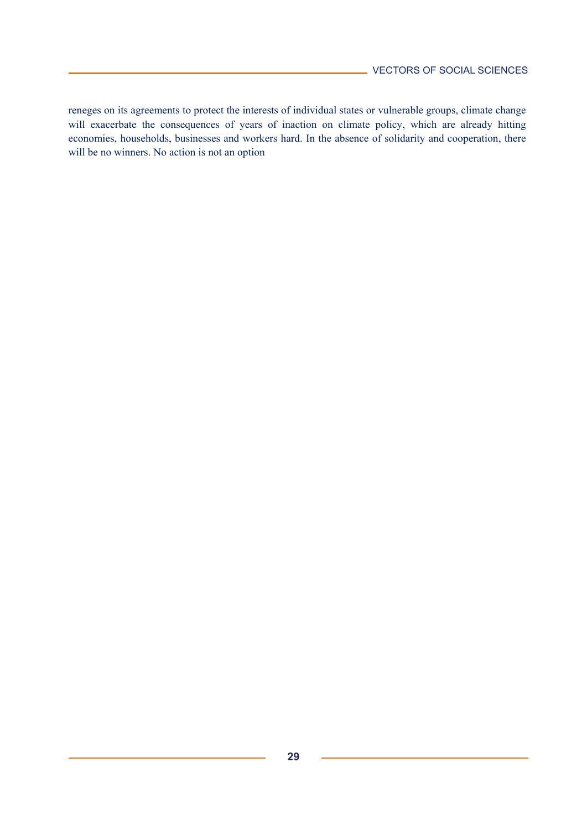reneges on its agreements to protect the interests of individual states or vulnerable groups, climate change will exacerbate the consequences of years of inaction on climate policy, which are already hitting economies, households, businesses and workers hard. In the absence of solidarity and cooperation, there will be no winners. No action is not an option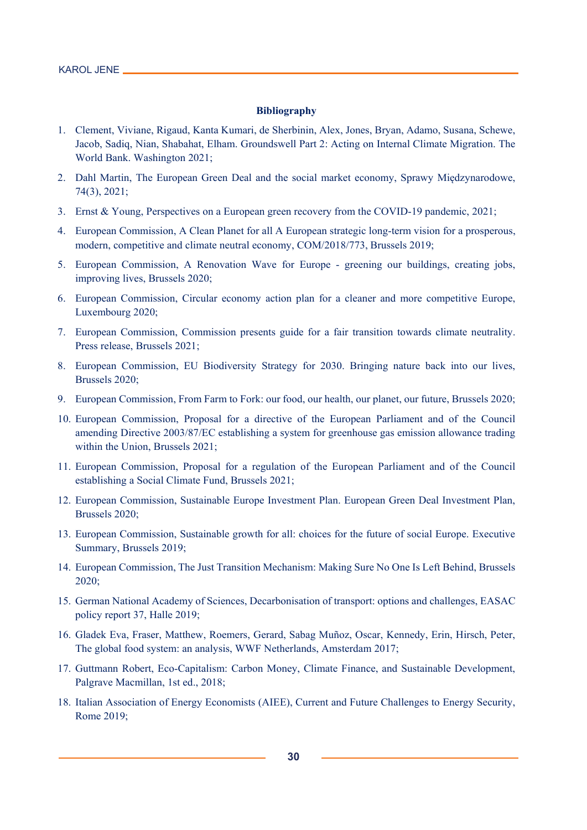#### **Bibliography**

- 1. Clement, Viviane, Rigaud, Kanta Kumari, de Sherbinin, Alex, Jones, Bryan, Adamo, Susana, Schewe, Jacob, Sadiq, Nian, Shabahat, Elham. Groundswell Part 2: Acting on Internal Climate Migration. The World Bank. Washington 2021;
- 2. Dahl Martin, The European Green Deal and the social market economy, Sprawy Międzynarodowe, 74(3), 2021;
- 3. Ernst & Young, Perspectives on a European green recovery from the COVID-19 pandemic, 2021;
- 4. European Commission, A Clean Planet for all A European strategic long-term vision for a prosperous, modern, competitive and climate neutral economy, COM/2018/773, Brussels 2019;
- 5. European Commission, A Renovation Wave for Europe greening our buildings, creating jobs, improving lives, Brussels 2020;
- 6. European Commission, Circular economy action plan for a cleaner and more competitive Europe, Luxembourg 2020;
- 7. European Commission, Commission presents guide for a fair transition towards climate neutrality. Press release, Brussels 2021;
- 8. European Commission, EU Biodiversity Strategy for 2030. Bringing nature back into our lives, Brussels 2020;
- 9. European Commission, From Farm to Fork: our food, our health, our planet, our future, Brussels 2020;
- 10. European Commission, Proposal for a directive of the European Parliament and of the Council amending Directive 2003/87/EC establishing a system for greenhouse gas emission allowance trading within the Union, Brussels 2021;
- 11. European Commission, Proposal for a regulation of the European Parliament and of the Council establishing a Social Climate Fund, Brussels 2021;
- 12. European Commission, Sustainable Europe Investment Plan. European Green Deal Investment Plan, Brussels 2020;
- 13. European Commission, Sustainable growth for all: choices for the future of social Europe. Executive Summary, Brussels 2019;
- 14. European Commission, The Just Transition Mechanism: Making Sure No One Is Left Behind, Brussels 2020;
- 15. German National Academy of Sciences, Decarbonisation of transport: options and challenges, EASAC policy report 37, Halle 2019;
- 16. Gladek Eva, Fraser, Matthew, Roemers, Gerard, Sabag Muñoz, Oscar, Kennedy, Erin, Hirsch, Peter, The global food system: an analysis, WWF Netherlands, Amsterdam 2017;
- 17. Guttmann Robert, Eco-Capitalism: Carbon Money, Climate Finance, and Sustainable Development, Palgrave Macmillan, 1st ed., 2018;
- 18. Italian Association of Energy Economists (AIEE), Current and Future Challenges to Energy Security, Rome 2019;